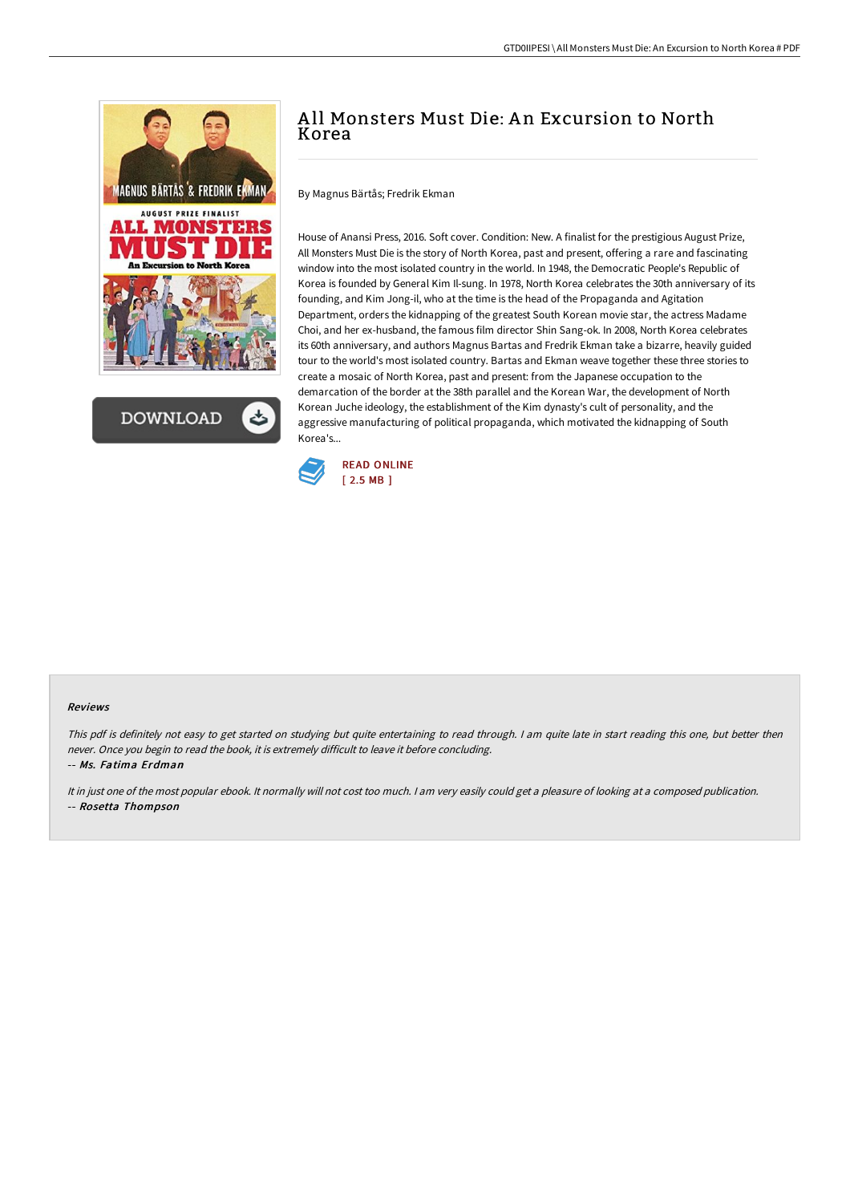



# A ll Monsters Must Die: A n Excursion to North Korea

By Magnus Bärtås; Fredrik Ekman

House of Anansi Press, 2016. Soft cover. Condition: New. A finalist for the prestigious August Prize, All Monsters Must Die is the story of North Korea, past and present, offering a rare and fascinating window into the most isolated country in the world. In 1948, the Democratic People's Republic of Korea is founded by General Kim Il-sung. In 1978, North Korea celebrates the 30th anniversary of its founding, and Kim Jong-il, who at the time is the head of the Propaganda and Agitation Department, orders the kidnapping of the greatest South Korean movie star, the actress Madame Choi, and her ex-husband, the famous film director Shin Sang-ok. In 2008, North Korea celebrates its 60th anniversary, and authors Magnus Bartas and Fredrik Ekman take a bizarre, heavily guided tour to the world's most isolated country. Bartas and Ekman weave together these three stories to create a mosaic of North Korea, past and present: from the Japanese occupation to the demarcation of the border at the 38th parallel and the Korean War, the development of North Korean Juche ideology, the establishment of the Kim dynasty's cult of personality, and the aggressive manufacturing of political propaganda, which motivated the kidnapping of South Korea's...



#### Reviews

This pdf is definitely not easy to get started on studying but quite entertaining to read through. <sup>I</sup> am quite late in start reading this one, but better then never. Once you begin to read the book, it is extremely difficult to leave it before concluding.

-- Ms. Fatima Erdman

It in just one of the most popular ebook. It normally will not cost too much. <sup>I</sup> am very easily could get <sup>a</sup> pleasure of looking at <sup>a</sup> composed publication. -- Rosetta Thompson